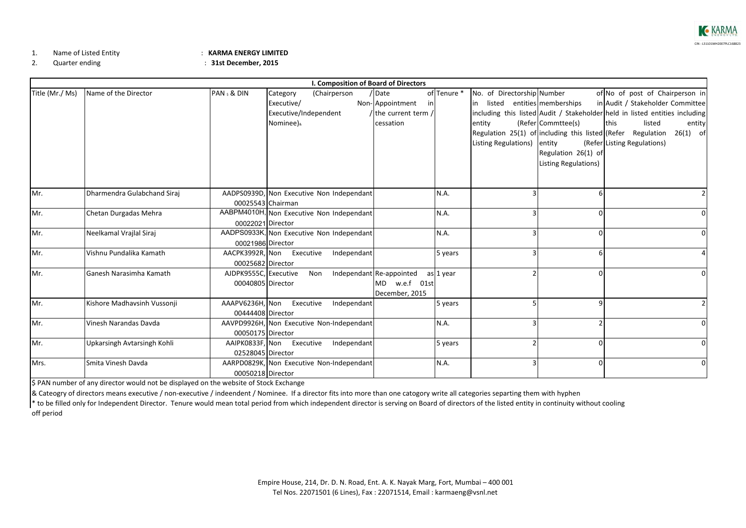

1.Name of Listed Entity : **KARMA ENERGY LIMITED**

2.

Quarter ending : **31st December, 2015**

|                 |                             |                           |                           |                                           | I. Composition of Board of Directors |             |                             |   |                                                                             |             |                                  |            |
|-----------------|-----------------------------|---------------------------|---------------------------|-------------------------------------------|--------------------------------------|-------------|-----------------------------|---|-----------------------------------------------------------------------------|-------------|----------------------------------|------------|
| Title (Mr./ Ms) | Name of the Director        | PAN <sub>s</sub> & DIN    | Category                  | (Chairperson                              | / Date                               | of Tenure * | No. of Directorship Number  |   |                                                                             |             | of No of post of Chairperson in  |            |
|                 |                             |                           | Executive/                |                                           | Non-Appointment<br>inl               |             |                             |   | in listed entities memberships                                              |             | in Audit / Stakeholder Committee |            |
|                 |                             |                           | Executive/Independent     |                                           | / the current term /                 |             |                             |   | including this listed Audit / Stakeholder held in listed entities including |             |                                  |            |
|                 |                             |                           | Nominee) <sub>&amp;</sub> |                                           | cessation                            |             | entity                      |   | (Refer Commttee(s)                                                          | <b>this</b> | listed                           | entity     |
|                 |                             |                           |                           |                                           |                                      |             |                             |   | Regulation 25(1) of including this listed (Refer Regulation                 |             |                                  | $26(1)$ of |
|                 |                             |                           |                           |                                           |                                      |             | Listing Regulations) entity |   |                                                                             |             | (Refer Listing Regulations)      |            |
|                 |                             |                           |                           |                                           |                                      |             |                             |   | Regulation 26(1) of                                                         |             |                                  |            |
|                 |                             |                           |                           |                                           |                                      |             |                             |   | Listing Regulations)                                                        |             |                                  |            |
|                 |                             |                           |                           |                                           |                                      |             |                             |   |                                                                             |             |                                  |            |
| Mr.             | Dharmendra Gulabchand Siraj |                           |                           | AADPS0939D, Non Executive Non Independant |                                      | N.A.        |                             |   |                                                                             |             |                                  |            |
|                 |                             |                           | 00025543 Chairman         |                                           |                                      |             |                             |   |                                                                             |             |                                  |            |
| Mr.             | Chetan Durgadas Mehra       |                           |                           | AABPM4010H, Non Executive Non Independant |                                      | N.A.        |                             |   |                                                                             |             |                                  |            |
|                 |                             | 00022021 Director         |                           |                                           |                                      |             |                             |   |                                                                             |             |                                  |            |
| Mr.             | Neelkamal Vrajlal Siraj     |                           |                           | AADPS0933K, Non Executive Non Independant |                                      | N.A.        |                             |   |                                                                             |             |                                  |            |
|                 |                             | 00021986 Director         |                           |                                           |                                      |             |                             |   |                                                                             |             |                                  |            |
| Mr.             | Vishnu Pundalika Kamath     | AACPK3992R, Non Executive |                           | Independant                               |                                      | 5 years     |                             |   |                                                                             |             |                                  |            |
|                 |                             | 00025682 Director         |                           |                                           |                                      |             |                             |   |                                                                             |             |                                  |            |
| Mr.             | Ganesh Narasimha Kamath     | AJDPK9555C, Executive     |                           | Non                                       | Independant Re-appointed             | as 1 year   |                             |   |                                                                             |             |                                  |            |
|                 |                             | 00040805 Director         |                           |                                           | MD w.e.f 01st                        |             |                             |   |                                                                             |             |                                  |            |
|                 |                             |                           |                           |                                           | December, 2015                       |             |                             |   |                                                                             |             |                                  |            |
| Mr.             | Kishore Madhavsinh Vussonji | AAAPV6236H, Non Executive |                           | Independant                               |                                      | 5 years     |                             |   |                                                                             |             |                                  |            |
|                 |                             | 00444408 Director         |                           |                                           |                                      |             |                             |   |                                                                             |             |                                  |            |
| Mr.             | Vinesh Narandas Davda       |                           |                           | AAVPD9926H, Non Executive Non-Independant |                                      | N.A.        |                             | 3 |                                                                             |             |                                  |            |
|                 |                             | 00050175 Director         |                           |                                           |                                      |             |                             |   |                                                                             |             |                                  |            |
| Mr.             | Upkarsingh Avtarsingh Kohli | 02528045 Director         | AAIPK0833F, Non Executive | Independant                               |                                      | 5 years     |                             |   |                                                                             |             |                                  |            |
| Mrs.            | Smita Vinesh Davda          |                           |                           | AARPD0829K, Non Executive Non-Independant |                                      | N.A.        |                             | 3 |                                                                             |             |                                  |            |
|                 |                             | 00050218 Director         |                           |                                           |                                      |             |                             |   |                                                                             |             |                                  |            |

\$ PAN number of any director would not be displayed on the website of Stock Exchange

& Cateogry of directors means executive / non‐executive / indeendent / Nominee. If <sup>a</sup> director fits into more than one catogory write all categories separting them with hyphen

\* to be filled only for Independent Director. Tenure would mean total period from which independent director is serving on Board of directors of the listed entity in continuity without cooling off period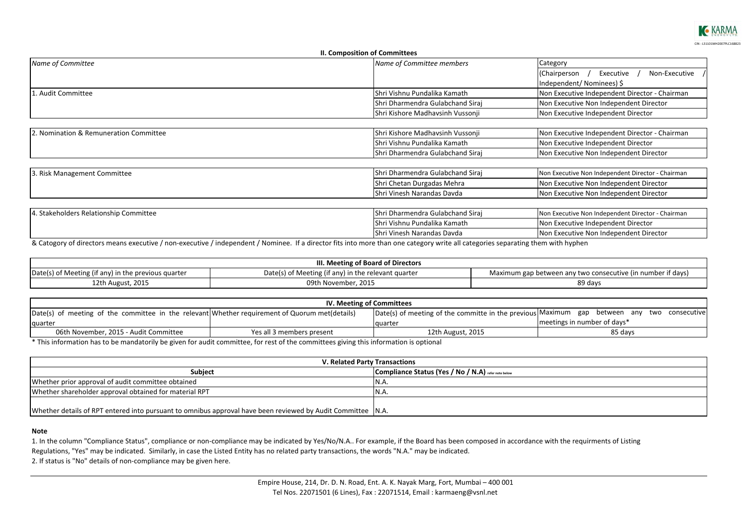

|                                        | II. Composition of Committees    |                                                          |  |  |
|----------------------------------------|----------------------------------|----------------------------------------------------------|--|--|
| Name of Committee                      | Name of Committee members        | Category<br>Non-Executive /<br>Executive<br>(Chairperson |  |  |
|                                        |                                  |                                                          |  |  |
|                                        |                                  | Independent/Nominees) \$                                 |  |  |
| . Audit Committee                      | lShri Vishnu Pundalika Kamath    | Non Executive Independent Director - Chairman            |  |  |
|                                        | Shri Dharmendra Gulabchand Siraj | Non Executive Non Independent Director                   |  |  |
|                                        | Shri Kishore Madhavsinh Vussonji | Non Executive Independent Director                       |  |  |
|                                        |                                  |                                                          |  |  |
| 2. Nomination & Remuneration Committee | Shri Kishore Madhavsinh Vussonji | Non Executive Independent Director - Chairman            |  |  |
|                                        | lShri Vishnu Pundalika Kamath    | Non Executive Independent Director                       |  |  |
|                                        | Shri Dharmendra Gulabchand Siraj | Non Executive Non Independent Director                   |  |  |
|                                        |                                  |                                                          |  |  |
| 3. Risk Management Committee           | Shri Dharmendra Gulabchand Siraj | Non Executive Non Independent Director - Chairman        |  |  |
|                                        | Shri Chetan Durgadas Mehra       | Non Executive Non Independent Director                   |  |  |
|                                        | Shri Vinesh Narandas Davda       | Non Executive Non Independent Director                   |  |  |
|                                        |                                  |                                                          |  |  |
| 4. Stakeholders Relationship Committee | Shri Dharmendra Gulabchand Siraj | Non Executive Non Independent Director - Chairman        |  |  |
|                                        | lShri Vishnu Pundalika Kamath    | Non Executive Independent Director                       |  |  |
|                                        | IShri Vinesh Narandas Davda      | Non Executive Non Independent Director                   |  |  |

& Catogory of directors means executive / non‐executive / independent / Nominee. If <sup>a</sup> director fits into more than one category write all categories separating them with hyphen

| III. Meeting of Board of Directors                  |                                                     |                                                             |  |  |
|-----------------------------------------------------|-----------------------------------------------------|-------------------------------------------------------------|--|--|
| Date(s) of Meeting (if any) in the previous quarter | Date(s) of Meeting (if any) in the relevant quarter | Maximum gap between any two consecutive (in number if days) |  |  |
| 12th August, 2015                                   | 09th November, 2015                                 | 89 days                                                     |  |  |

| IV. Meeting of Committees                                                                      |                           |                                                                                            |                             |  |  |  |
|------------------------------------------------------------------------------------------------|---------------------------|--------------------------------------------------------------------------------------------|-----------------------------|--|--|--|
| Date(s) of meeting of the committee in the relevant Whether requirement of Quorum met(details) |                           | Date(s) of meeting of the committe in the previous Maximum gap between any two consecutive |                             |  |  |  |
| quarter                                                                                        |                           | <b>Lauarter</b>                                                                            | meetings in number of days* |  |  |  |
| 06th November, 2015 - Audit Committee                                                          | Yes all 3 members present | 12th August, 2015                                                                          | 85 days                     |  |  |  |

\* This information has to be mandatorily be given for audit committee, for rest of the committees giving this information is optional

| <b>V. Related Party Transactions</b>                                                                        |                                                     |  |  |
|-------------------------------------------------------------------------------------------------------------|-----------------------------------------------------|--|--|
| <b>Subject</b>                                                                                              | Compliance Status (Yes / No / N.A) refer note below |  |  |
| Whether prior approval of audit committee obtained                                                          | IN.A.                                               |  |  |
| Whether shareholder approval obtained for material RPT                                                      | IN.A.                                               |  |  |
|                                                                                                             |                                                     |  |  |
| Whether details of RPT entered into pursuant to omnibus approval have been reviewed by Audit Committee N.A. |                                                     |  |  |

## **Note**

1. In the column "Compliance Status", compliance or non‐compliance may be indicated by Yes/No/N.A.. For example, if the Board has been composed in accordance with the requirments of Listing Regulations, "Yes" may be indicated. Similarly, in case the Listed Entity has no related party transactions, the words "N.A." may be indicated. 2. If status is "No" details of non‐compliance may be given here.

> Empire House, 214, Dr. D. N. Road, Ent. A. K. Nayak Marg, Fort, Mumbai – 400 001 Tel Nos. 22071501 (6 Lines), Fax : 22071514, Email : karmaeng@vsnl.net